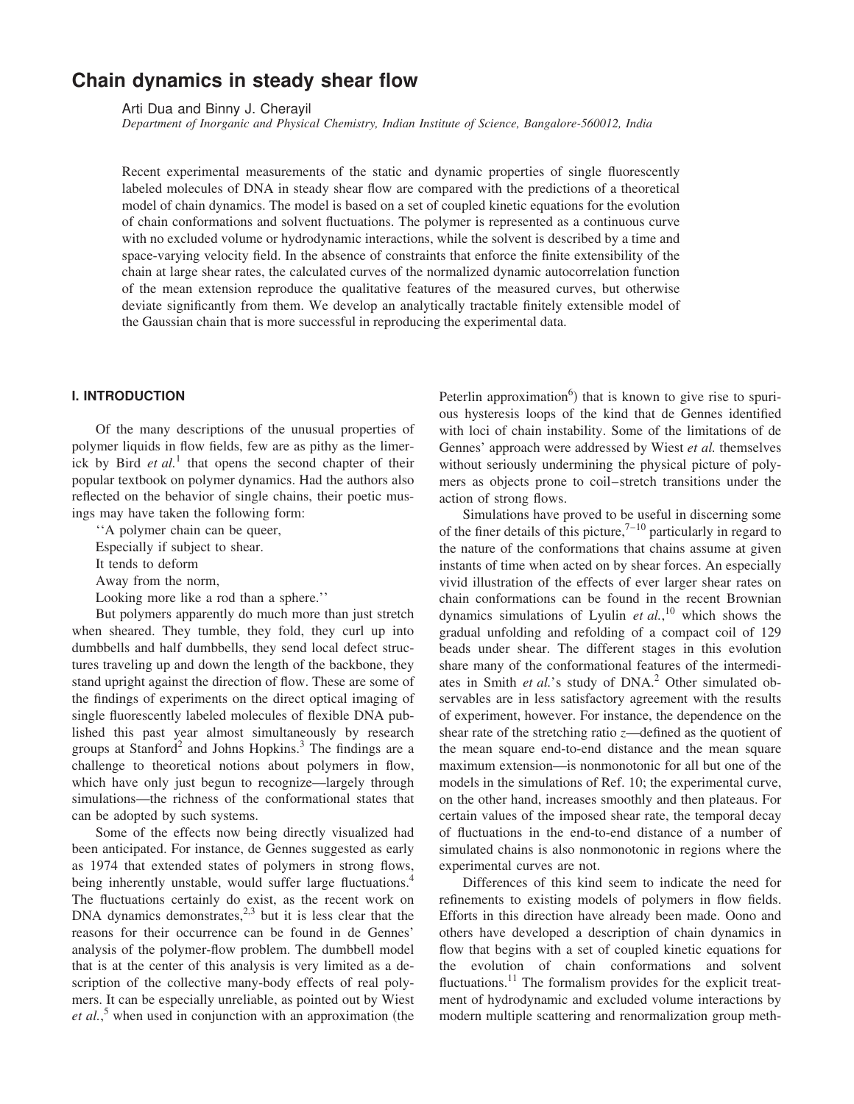# **Chain dynamics in steady shear flow**

Arti Dua and Binny J. Cherayil

*Department of Inorganic and Physical Chemistry, Indian Institute of Science, Bangalore-560012, India*

Recent experimental measurements of the static and dynamic properties of single fluorescently labeled molecules of DNA in steady shear flow are compared with the predictions of a theoretical model of chain dynamics. The model is based on a set of coupled kinetic equations for the evolution of chain conformations and solvent fluctuations. The polymer is represented as a continuous curve with no excluded volume or hydrodynamic interactions, while the solvent is described by a time and space-varying velocity field. In the absence of constraints that enforce the finite extensibility of the chain at large shear rates, the calculated curves of the normalized dynamic autocorrelation function of the mean extension reproduce the qualitative features of the measured curves, but otherwise deviate significantly from them. We develop an analytically tractable finitely extensible model of the Gaussian chain that is more successful in reproducing the experimental data.

## **I. INTRODUCTION**

Of the many descriptions of the unusual properties of polymer liquids in flow fields, few are as pithy as the limerick by Bird *et al.*<sup>1</sup> that opens the second chapter of their popular textbook on polymer dynamics. Had the authors also reflected on the behavior of single chains, their poetic musings may have taken the following form:

''A polymer chain can be queer,

Especially if subject to shear.

It tends to deform

Away from the norm,

Looking more like a rod than a sphere.''

But polymers apparently do much more than just stretch when sheared. They tumble, they fold, they curl up into dumbbells and half dumbbells, they send local defect structures traveling up and down the length of the backbone, they stand upright against the direction of flow. These are some of the findings of experiments on the direct optical imaging of single fluorescently labeled molecules of flexible DNA published this past year almost simultaneously by research groups at Stanford<sup>2</sup> and Johns Hopkins.<sup>3</sup> The findings are a challenge to theoretical notions about polymers in flow, which have only just begun to recognize—largely through simulations—the richness of the conformational states that can be adopted by such systems.

Some of the effects now being directly visualized had been anticipated. For instance, de Gennes suggested as early as 1974 that extended states of polymers in strong flows, being inherently unstable, would suffer large fluctuations.<sup>4</sup> The fluctuations certainly do exist, as the recent work on DNA dynamics demonstrates, $2,3$  but it is less clear that the reasons for their occurrence can be found in de Gennes' analysis of the polymer-flow problem. The dumbbell model that is at the center of this analysis is very limited as a description of the collective many-body effects of real polymers. It can be especially unreliable, as pointed out by Wiest *et al.*,<sup>5</sup> when used in conjunction with an approximation (the

Peterlin approximation<sup>6</sup>) that is known to give rise to spurious hysteresis loops of the kind that de Gennes identified with loci of chain instability. Some of the limitations of de Gennes' approach were addressed by Wiest *et al.* themselves without seriously undermining the physical picture of polymers as objects prone to coil–stretch transitions under the action of strong flows.

Simulations have proved to be useful in discerning some of the finer details of this picture,<sup> $7-10$ </sup> particularly in regard to the nature of the conformations that chains assume at given instants of time when acted on by shear forces. An especially vivid illustration of the effects of ever larger shear rates on chain conformations can be found in the recent Brownian dynamics simulations of Lyulin *et al.*, <sup>10</sup> which shows the gradual unfolding and refolding of a compact coil of 129 beads under shear. The different stages in this evolution share many of the conformational features of the intermediates in Smith *et al.*'s study of DNA.<sup>2</sup> Other simulated observables are in less satisfactory agreement with the results of experiment, however. For instance, the dependence on the shear rate of the stretching ratio *z*—defined as the quotient of the mean square end-to-end distance and the mean square maximum extension—is nonmonotonic for all but one of the models in the simulations of Ref. 10; the experimental curve, on the other hand, increases smoothly and then plateaus. For certain values of the imposed shear rate, the temporal decay of fluctuations in the end-to-end distance of a number of simulated chains is also nonmonotonic in regions where the experimental curves are not.

Differences of this kind seem to indicate the need for refinements to existing models of polymers in flow fields. Efforts in this direction have already been made. Oono and others have developed a description of chain dynamics in flow that begins with a set of coupled kinetic equations for the evolution of chain conformations and solvent fluctuations.<sup>11</sup> The formalism provides for the explicit treatment of hydrodynamic and excluded volume interactions by modern multiple scattering and renormalization group meth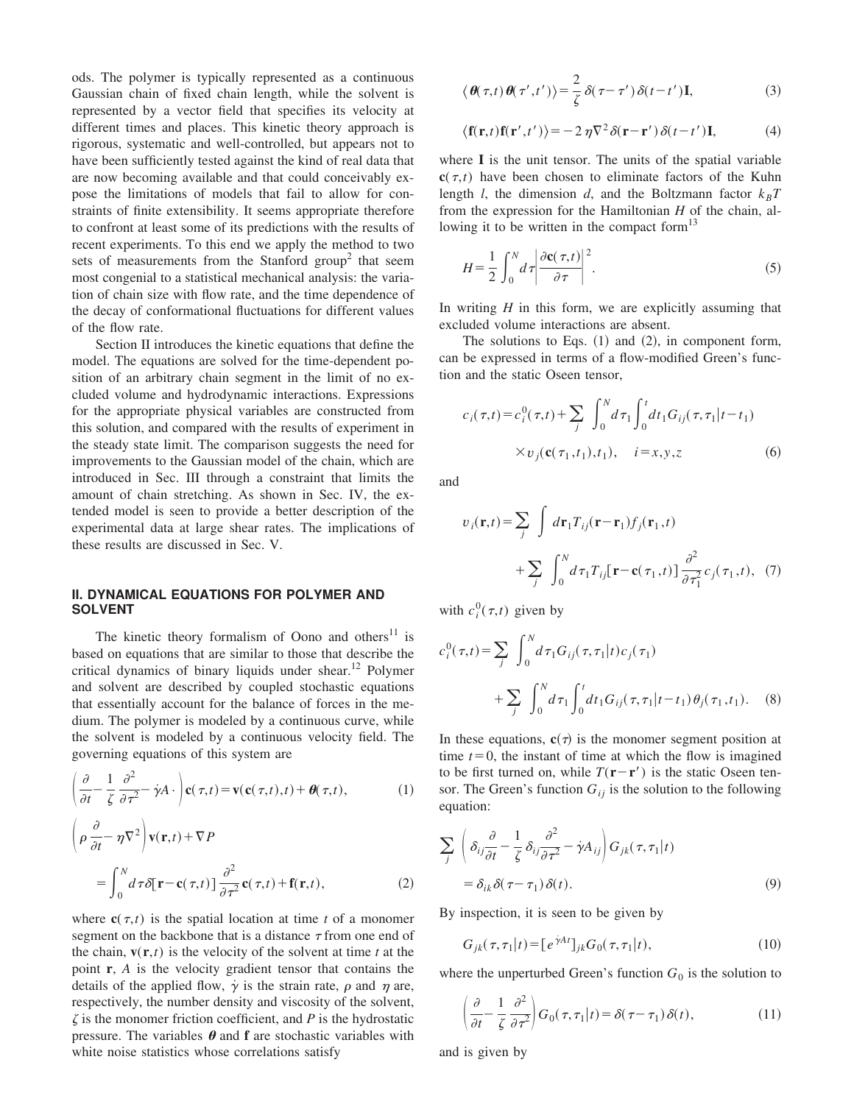ods. The polymer is typically represented as a continuous Gaussian chain of fixed chain length, while the solvent is represented by a vector field that specifies its velocity at different times and places. This kinetic theory approach is rigorous, systematic and well-controlled, but appears not to have been sufficiently tested against the kind of real data that are now becoming available and that could conceivably expose the limitations of models that fail to allow for constraints of finite extensibility. It seems appropriate therefore to confront at least some of its predictions with the results of recent experiments. To this end we apply the method to two sets of measurements from the Stanford group<sup>2</sup> that seem most congenial to a statistical mechanical analysis: the variation of chain size with flow rate, and the time dependence of the decay of conformational fluctuations for different values of the flow rate.

Section II introduces the kinetic equations that define the model. The equations are solved for the time-dependent position of an arbitrary chain segment in the limit of no excluded volume and hydrodynamic interactions. Expressions for the appropriate physical variables are constructed from this solution, and compared with the results of experiment in the steady state limit. The comparison suggests the need for improvements to the Gaussian model of the chain, which are introduced in Sec. III through a constraint that limits the amount of chain stretching. As shown in Sec. IV, the extended model is seen to provide a better description of the experimental data at large shear rates. The implications of these results are discussed in Sec. V.

# **II. DYNAMICAL EQUATIONS FOR POLYMER AND SOLVENT**

The kinetic theory formalism of Oono and others $11$  is based on equations that are similar to those that describe the critical dynamics of binary liquids under shear.<sup>12</sup> Polymer and solvent are described by coupled stochastic equations that essentially account for the balance of forces in the medium. The polymer is modeled by a continuous curve, while the solvent is modeled by a continuous velocity field. The governing equations of this system are

$$
\left(\frac{\partial}{\partial t} - \frac{1}{\zeta} \frac{\partial^2}{\partial \tau^2} - \dot{\gamma} A \cdot \right) \mathbf{c}(\tau, t) = \mathbf{v}(\mathbf{c}(\tau, t), t) + \boldsymbol{\theta}(\tau, t), \tag{1}
$$

$$
\left(\rho \frac{\partial}{\partial t} - \eta \nabla^2 \right) \mathbf{v}(\mathbf{r}, t) + \nabla P
$$
  
= 
$$
\int_0^N d\tau \delta[\mathbf{r} - \mathbf{c}(\tau, t)] \frac{\partial^2}{\partial \tau^2} \mathbf{c}(\tau, t) + \mathbf{f}(\mathbf{r}, t),
$$
 (2)

where  $c(\tau,t)$  is the spatial location at time *t* of a monomer segment on the backbone that is a distance  $\tau$  from one end of the chain,  $\mathbf{v}(\mathbf{r},t)$  is the velocity of the solvent at time *t* at the point **r**, *A* is the velocity gradient tensor that contains the details of the applied flow,  $\dot{\gamma}$  is the strain rate,  $\rho$  and  $\eta$  are, respectively, the number density and viscosity of the solvent,  $\zeta$  is the monomer friction coefficient, and  $P$  is the hydrostatic pressure. The variables  $\theta$  and **f** are stochastic variables with white noise statistics whose correlations satisfy

$$
\langle \boldsymbol{\theta}(\tau,t) \boldsymbol{\theta}(\tau',t') \rangle = \frac{2}{\zeta} \delta(\tau - \tau') \delta(t - t') \mathbf{I},
$$
 (3)

$$
\langle \mathbf{f}(\mathbf{r},t)\mathbf{f}(\mathbf{r}',t') \rangle = -2\,\eta \nabla^2 \delta(\mathbf{r}-\mathbf{r}')\,\delta(t-t')\,\mathbf{I},\tag{4}
$$

where **I** is the unit tensor. The units of the spatial variable  $c(\tau,t)$  have been chosen to eliminate factors of the Kuhn length *l*, the dimension *d*, and the Boltzmann factor  $k_B T$ from the expression for the Hamiltonian *H* of the chain, allowing it to be written in the compact form $13$ 

$$
H = \frac{1}{2} \int_0^N d\tau \left| \frac{\partial \mathbf{c}(\tau, t)}{\partial \tau} \right|^2.
$$
 (5)

In writing *H* in this form, we are explicitly assuming that excluded volume interactions are absent.

The solutions to Eqs.  $(1)$  and  $(2)$ , in component form, can be expressed in terms of a flow-modified Green's function and the static Oseen tensor,

$$
c_i(\tau, t) = c_i^0(\tau, t) + \sum_j \int_0^N d\tau_1 \int_0^t dt_1 G_{ij}(\tau, \tau_1 | t - t_1)
$$
  
× $v_j(\mathbf{c}(\tau_1, t_1), t_1), \quad i = x, y, z$  (6)

and

$$
v_i(\mathbf{r},t) = \sum_j \int d\mathbf{r}_1 T_{ij}(\mathbf{r} - \mathbf{r}_1) f_j(\mathbf{r}_1, t)
$$

$$
+ \sum_j \int_0^N d\tau_1 T_{ij} [\mathbf{r} - \mathbf{c}(\tau_1, t)] \frac{\partial^2}{\partial \tau_1^2} c_j(\tau_1, t), (7)
$$

with  $c_i^0(\tau,t)$  given by

$$
c_i^0(\tau, t) = \sum_j \int_0^N d\tau_1 G_{ij}(\tau, \tau_1 | t) c_j(\tau_1)
$$
  
+ 
$$
\sum_j \int_0^N d\tau_1 \int_0^t dt_1 G_{ij}(\tau, \tau_1 | t - t_1) \theta_j(\tau_1, t_1).
$$
 (8)

In these equations,  $c(\tau)$  is the monomer segment position at time  $t=0$ , the instant of time at which the flow is imagined to be first turned on, while  $T(\mathbf{r}-\mathbf{r}')$  is the static Oseen tensor. The Green's function  $G_{ij}$  is the solution to the following equation:

$$
\sum_{j} \left( \delta_{ij} \frac{\partial}{\partial t} - \frac{1}{\zeta} \delta_{ij} \frac{\partial^2}{\partial \tau^2} - \dot{\gamma} A_{ij} \right) G_{jk}(\tau, \tau_1 | t)
$$
  
=  $\delta_{ik} \delta(\tau - \tau_1) \delta(t).$  (9)

By inspection, it is seen to be given by

$$
G_{jk}(\tau,\tau_1|t) = [e^{jAt}]_{jk} G_0(\tau,\tau_1|t), \qquad (10)
$$

where the unperturbed Green's function  $G_0$  is the solution to

$$
\left(\frac{\partial}{\partial t} - \frac{1}{\zeta} \frac{\partial^2}{\partial \tau^2}\right) G_0(\tau, \tau_1 | t) = \delta(\tau - \tau_1) \delta(t),\tag{11}
$$

and is given by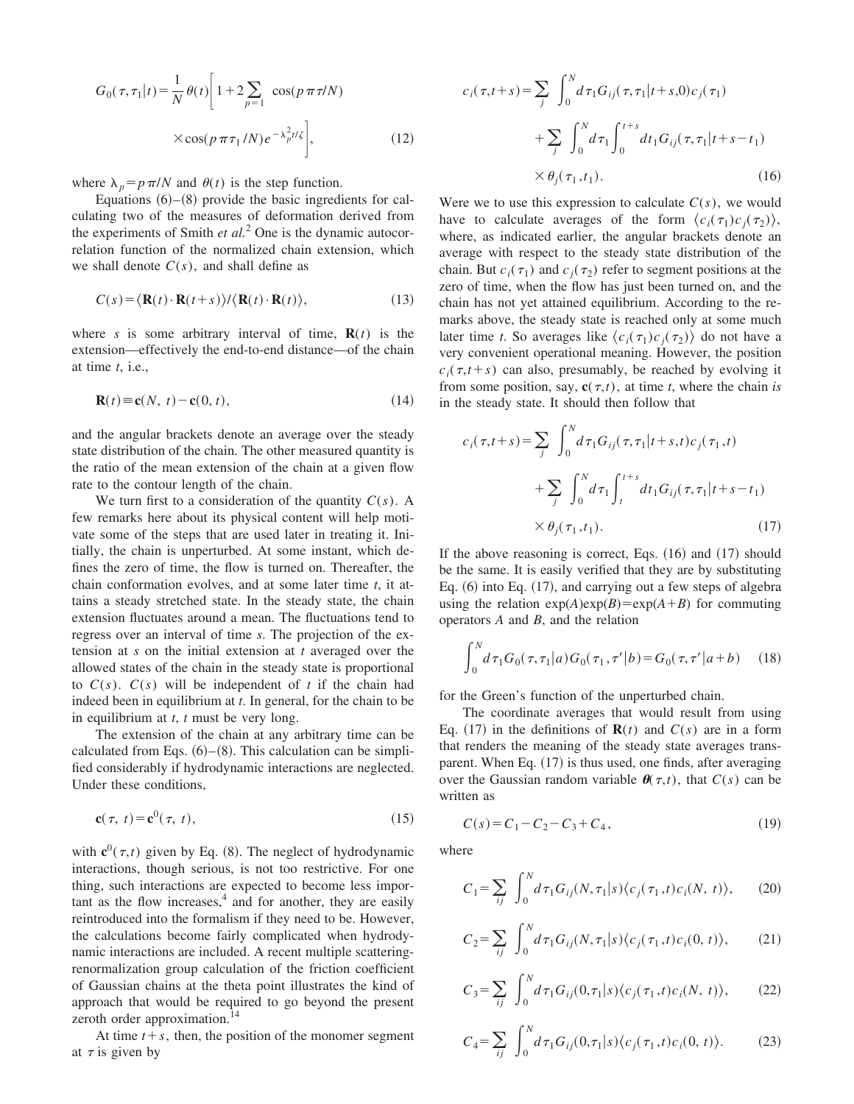$$
G_0(\tau, \tau_1 | t) = \frac{1}{N} \theta(t) \left[ 1 + 2 \sum_{p=1}^{\infty} \cos(p \pi \tau / N) \right]
$$

$$
\times \cos(p \pi \tau_1 / N) e^{-\lambda_p^2 t / \zeta} \bigg],
$$
(12)

where  $\lambda_p = p \pi/N$  and  $\theta(t)$  is the step function.

Equations  $(6)$ – $(8)$  provide the basic ingredients for calculating two of the measures of deformation derived from the experiments of Smith *et al.*<sup>2</sup> One is the dynamic autocorrelation function of the normalized chain extension, which we shall denote  $C(s)$ , and shall define as

$$
C(s) = \langle \mathbf{R}(t) \cdot \mathbf{R}(t+s) \rangle / \langle \mathbf{R}(t) \cdot \mathbf{R}(t) \rangle, \tag{13}
$$

where *s* is some arbitrary interval of time,  $\mathbf{R}(t)$  is the extension—effectively the end-to-end distance—of the chain at time *t*, i.e.,

$$
\mathbf{R}(t) \equiv \mathbf{c}(N, t) - \mathbf{c}(0, t),\tag{14}
$$

and the angular brackets denote an average over the steady state distribution of the chain. The other measured quantity is the ratio of the mean extension of the chain at a given flow rate to the contour length of the chain.

We turn first to a consideration of the quantity *C*(*s*). A few remarks here about its physical content will help motivate some of the steps that are used later in treating it. Initially, the chain is unperturbed. At some instant, which defines the zero of time, the flow is turned on. Thereafter, the chain conformation evolves, and at some later time *t*, it attains a steady stretched state. In the steady state, the chain extension fluctuates around a mean. The fluctuations tend to regress over an interval of time *s*. The projection of the extension at *s* on the initial extension at *t* averaged over the allowed states of the chain in the steady state is proportional to  $C(s)$ .  $C(s)$  will be independent of *t* if the chain had indeed been in equilibrium at *t*. In general, for the chain to be in equilibrium at *t*, *t* must be very long.

The extension of the chain at any arbitrary time can be calculated from Eqs.  $(6)$ – $(8)$ . This calculation can be simplified considerably if hydrodynamic interactions are neglected. Under these conditions,

$$
\mathbf{c}(\tau, t) = \mathbf{c}^0(\tau, t),\tag{15}
$$

with  $\mathbf{c}^0(\tau,t)$  given by Eq. (8). The neglect of hydrodynamic interactions, though serious, is not too restrictive. For one thing, such interactions are expected to become less impor- $\tan$ t as the flow increases, $4$  and for another, they are easily reintroduced into the formalism if they need to be. However, the calculations become fairly complicated when hydrodynamic interactions are included. A recent multiple scatteringrenormalization group calculation of the friction coefficient of Gaussian chains at the theta point illustrates the kind of approach that would be required to go beyond the present zeroth order approximation.<sup>14</sup>

At time  $t + s$ , then, the position of the monomer segment at  $\tau$  is given by

$$
c_i(\tau, t+s) = \sum_j \int_0^N d\tau_1 G_{ij}(\tau, \tau_1 | t+s, 0) c_j(\tau_1) + \sum_j \int_0^N d\tau_1 \int_0^{t+s} dt_1 G_{ij}(\tau, \tau_1 | t+s-t_1) \times \theta_j(\tau_1, t_1).
$$
 (16)

Were we to use this expression to calculate  $C(s)$ , we would have to calculate averages of the form  $\langle c_i(\tau_1)c_j(\tau_2) \rangle$ , where, as indicated earlier, the angular brackets denote an average with respect to the steady state distribution of the chain. But  $c_i(\tau_1)$  and  $c_j(\tau_2)$  refer to segment positions at the zero of time, when the flow has just been turned on, and the chain has not yet attained equilibrium. According to the remarks above, the steady state is reached only at some much later time *t*. So averages like  $\langle c_i(\tau_1)c_j(\tau_2) \rangle$  do not have a very convenient operational meaning. However, the position  $c_i(\tau, t+s)$  can also, presumably, be reached by evolving it from some position, say,  $\mathbf{c}(\tau,t)$ , at time *t*, where the chain *is* in the steady state. It should then follow that

$$
c_i(\tau, t+s) = \sum_j \int_0^N d\tau_1 G_{ij}(\tau, \tau_1 | t+s, t) c_j(\tau_1, t)
$$
  
+ 
$$
\sum_j \int_0^N d\tau_1 \int_t^{t+s} dt_1 G_{ij}(\tau, \tau_1 | t+s-t_1)
$$
  
 
$$
\times \theta_j(\tau_1, t_1).
$$
 (17)

If the above reasoning is correct, Eqs.  $(16)$  and  $(17)$  should be the same. It is easily verified that they are by substituting Eq.  $(6)$  into Eq.  $(17)$ , and carrying out a few steps of algebra using the relation  $exp(A)exp(B)=exp(A+B)$  for commuting operators *A* and *B*, and the relation

$$
\int_0^N d\tau_1 G_0(\tau, \tau_1 | a) G_0(\tau_1, \tau' | b) = G_0(\tau, \tau' | a + b) \tag{18}
$$

for the Green's function of the unperturbed chain.

The coordinate averages that would result from using Eq. (17) in the definitions of  $\mathbf{R}(t)$  and  $C(s)$  are in a form that renders the meaning of the steady state averages transparent. When Eq.  $(17)$  is thus used, one finds, after averaging over the Gaussian random variable  $\theta(\tau,t)$ , that  $C(s)$  can be written as

$$
C(s) = C_1 - C_2 - C_3 + C_4, \tag{19}
$$

where

$$
C_1 = \sum_{ij} \int_0^N d\tau_1 G_{ij}(N, \tau_1 | s) \langle c_j(\tau_1, t) c_i(N, t) \rangle, \qquad (20)
$$

$$
C_2 = \sum_{ij} \int_0^N d\tau_1 G_{ij}(N, \tau_1 | s) \langle c_j(\tau_1, t) c_i(0, t) \rangle, \qquad (21)
$$

$$
C_3 = \sum_{ij} \int_0^N d\tau_1 G_{ij}(0, \tau_1 | s) \langle c_j(\tau_1, t) c_i(N, t) \rangle, \qquad (22)
$$

$$
C_4 = \sum_{ij} \int_0^N d\tau_1 G_{ij}(0, \tau_1 | s) \langle c_j(\tau_1, t) c_i(0, t) \rangle.
$$
 (23)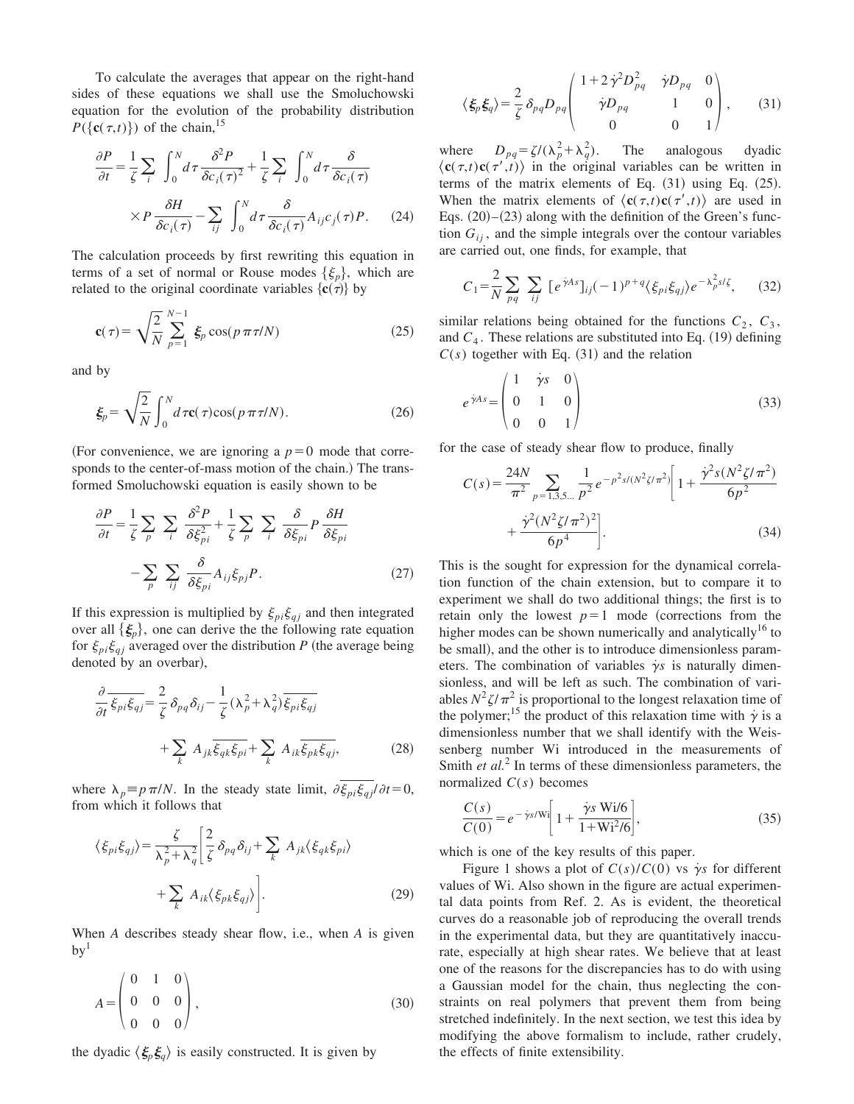To calculate the averages that appear on the right-hand sides of these equations we shall use the Smoluchowski equation for the evolution of the probability distribution  $P({\bf c}(\tau,t))$  of the chain,<sup>15</sup>

$$
\frac{\partial P}{\partial t} = \frac{1}{\zeta} \sum_{i} \int_{0}^{N} d\tau \frac{\delta^{2} P}{\delta c_{i}(\tau)^{2}} + \frac{1}{\zeta} \sum_{i} \int_{0}^{N} d\tau \frac{\delta}{\delta c_{i}(\tau)}
$$

$$
\times P \frac{\delta H}{\delta c_{i}(\tau)} - \sum_{ij} \int_{0}^{N} d\tau \frac{\delta}{\delta c_{i}(\tau)} A_{ij} c_{j}(\tau) P. \tag{24}
$$

The calculation proceeds by first rewriting this equation in terms of a set of normal or Rouse modes  $\{\xi_p\}$ , which are related to the original coordinate variables  $\{\mathbf{c}(\tau)\}\$  by

$$
\mathbf{c}(\tau) = \sqrt{\frac{2}{N}} \sum_{p=1}^{N-1} \xi_p \cos(p \pi \tau / N) \tag{25}
$$

and by

$$
\xi_p = \sqrt{\frac{2}{N}} \int_0^N d\,\tau \mathbf{c}(\,\tau) \cos(p\,\pi\,\tau/N). \tag{26}
$$

(For convenience, we are ignoring a  $p=0$  mode that corresponds to the center-of-mass motion of the chain.) The transformed Smoluchowski equation is easily shown to be

$$
\frac{\partial P}{\partial t} = \frac{1}{\zeta} \sum_{p} \sum_{i} \frac{\delta^{2} P}{\delta \xi_{pi}^{2}} + \frac{1}{\zeta} \sum_{p} \sum_{i} \frac{\delta}{\delta \xi_{pi}} P \frac{\delta H}{\delta \xi_{pi}}
$$

$$
- \sum_{p} \sum_{ij} \frac{\delta}{\delta \xi_{pi}} A_{ij} \xi_{pj} P. \tag{27}
$$

If this expression is multiplied by  $\xi_{pi} \xi_{qi}$  and then integrated over all  $\{\xi_p\}$ , one can derive the the following rate equation for  $\xi_{pi} \xi_{qi}$  averaged over the distribution *P* (the average being denoted by an overbar),

$$
\frac{\partial}{\partial t} \overline{\xi_{pi} \xi_{qj}} = \frac{2}{\zeta} \delta_{pq} \delta_{ij} - \frac{1}{\zeta} (\lambda_p^2 + \lambda_q^2) \overline{\xi_{pi} \xi_{qj}} + \sum_k A_{jk} \overline{\xi_{qk} \xi_{qi}},
$$
\n
$$
(28)
$$

where  $\lambda_p \equiv p \pi/N$ . In the steady state limit,  $\partial \overline{\xi_{pi}} \xi_{qi}/\partial t = 0$ , from which it follows that

$$
\langle \xi_{pi} \xi_{qj} \rangle = \frac{\zeta}{\lambda_p^2 + \lambda_q^2} \left[ \frac{2}{\zeta} \delta_{pq} \delta_{ij} + \sum_k A_{jk} \langle \xi_{qk} \xi_{pi} \rangle + \sum_k A_{ik} \langle \xi_{pk} \xi_{qj} \rangle \right].
$$
\n(29)

When *A* describes steady shear flow, i.e., when *A* is given  $by<sup>1</sup>$ 

$$
A = \begin{pmatrix} 0 & 1 & 0 \\ 0 & 0 & 0 \\ 0 & 0 & 0 \end{pmatrix}, \tag{30}
$$

the dyadic  $\langle \xi_p \xi_q \rangle$  is easily constructed. It is given by

$$
\langle \xi_p \xi_q \rangle = \frac{2}{\zeta} \delta_{pq} D_{pq} \begin{pmatrix} 1 + 2 \dot{\gamma}^2 D_{pq}^2 & \dot{\gamma} D_{pq} & 0 \\ \dot{\gamma} D_{pq} & 1 & 0 \\ 0 & 0 & 1 \end{pmatrix}, \qquad (31)
$$

where  $D_{pq} = \zeta/(\lambda_p^2 + \lambda_q^2)$ ). The analogous dyadic where  $D_{pq} = \zeta/(\lambda_p^2 + \lambda_q^2)$ . The analogous dyadic  $\langle c(\tau,t)c(\tau',t) \rangle$  in the original variables can be written in terms of the matrix elements of Eq.  $(31)$  using Eq.  $(25)$ . When the matrix elements of  $\langle \mathbf{c}(\tau,t) \mathbf{c}(\tau',t) \rangle$  are used in Eqs.  $(20)$ – $(23)$  along with the definition of the Green's function  $G_{ii}$ , and the simple integrals over the contour variables are carried out, one finds, for example, that

$$
C_1 = \frac{2}{N} \sum_{pq} \sum_{ij} \left[ e^{\gamma A s} \right]_{ij} (-1)^{p+q} \langle \xi_{pi} \xi_{qj} \rangle e^{-\lambda_p^2 s/\zeta}, \quad (32)
$$

similar relations being obtained for the functions  $C_2$ ,  $C_3$ , and  $C_4$ . These relations are substituted into Eq.  $(19)$  defining  $C(s)$  together with Eq.  $(31)$  and the relation

$$
e^{\dot{\gamma}As} = \begin{pmatrix} 1 & \dot{\gamma}s & 0 \\ 0 & 1 & 0 \\ 0 & 0 & 1 \end{pmatrix}
$$
 (33)

for the case of steady shear flow to produce, finally

$$
C(s) = \frac{24N}{\pi^2} \sum_{p=1,3,5...} \frac{1}{p^2} e^{-p^2 s/(N^2 \zeta/\pi^2)} \left[ 1 + \frac{\dot{\gamma}^2 s (N^2 \zeta/\pi^2)}{6p^2} + \frac{\dot{\gamma}^2 (N^2 \zeta/\pi^2)^2}{6p^4} \right].
$$
 (34)

This is the sought for expression for the dynamical correlation function of the chain extension, but to compare it to experiment we shall do two additional things; the first is to retain only the lowest  $p=1$  mode (corrections from the higher modes can be shown numerically and analytically<sup>16</sup> to be small), and the other is to introduce dimensionless parameters. The combination of variables  $\dot{\gamma}$ *s* is naturally dimensionless, and will be left as such. The combination of variables  $N^2 \zeta / \pi^2$  is proportional to the longest relaxation time of the polymer;<sup>15</sup> the product of this relaxation time with  $\dot{\gamma}$  is a dimensionless number that we shall identify with the Weissenberg number Wi introduced in the measurements of Smith *et al.*<sup>2</sup> In terms of these dimensionless parameters, the normalized  $C(s)$  becomes

$$
\frac{C(s)}{C(0)} = e^{-\frac{1}{\gamma s/\text{Wi}}}\left[1 + \frac{\dot{\gamma}s \text{ Wi/6}}{1 + \text{Wi}^2/6}\right],\tag{35}
$$

which is one of the key results of this paper.

Figure 1 shows a plot of  $C(s)/C(0)$  vs  $\dot{\gamma}s$  for different values of Wi. Also shown in the figure are actual experimental data points from Ref. 2. As is evident, the theoretical curves do a reasonable job of reproducing the overall trends in the experimental data, but they are quantitatively inaccurate, especially at high shear rates. We believe that at least one of the reasons for the discrepancies has to do with using a Gaussian model for the chain, thus neglecting the constraints on real polymers that prevent them from being stretched indefinitely. In the next section, we test this idea by modifying the above formalism to include, rather crudely, the effects of finite extensibility.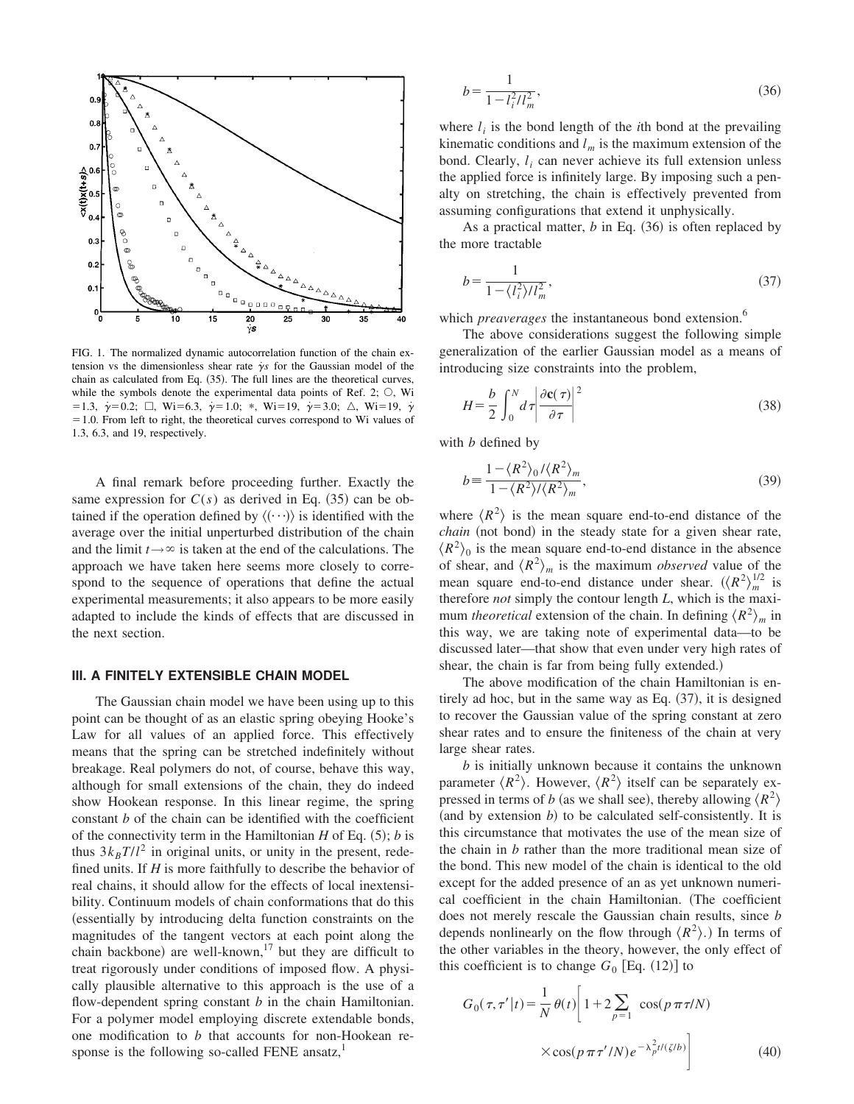

FIG. 1. The normalized dynamic autocorrelation function of the chain extension vs the dimensionless shear rate  $\gamma s$  for the Gaussian model of the chain as calculated from Eq.  $(35)$ . The full lines are the theoretical curves, while the symbols denote the experimental data points of Ref. 2;  $\circlearrowleft$ , Wi  $\gamma = 1.3, \ \dot{\gamma} = 0.2; \ \Box, \ \text{Wi} = 6.3, \ \dot{\gamma} = 1.0; \ \ast, \ \text{Wi} = 19, \ \dot{\gamma} = 3.0; \ \triangle, \ \text{Wi} = 19, \ \dot{\gamma} = 1.0; \ \dot{\gamma} = 1.0; \ \dot{\gamma} = 1.0; \ \dot{\gamma} = 1.0; \ \dot{\gamma} = 1.0; \ \dot{\gamma} = 1.0; \ \dot{\gamma} = 1.0; \ \dot{\gamma} = 1.0; \ \dot{\gamma} = 1.0; \ \dot{\gamma} = 1.0; \ \dot{\gamma} = 1.$  $=1.0$ . From left to right, the theoretical curves correspond to Wi values of 1.3, 6.3, and 19, respectively.

A final remark before proceeding further. Exactly the same expression for  $C(s)$  as derived in Eq.  $(35)$  can be obtained if the operation defined by  $\langle \cdots \rangle$  is identified with the average over the initial unperturbed distribution of the chain and the limit  $t \rightarrow \infty$  is taken at the end of the calculations. The approach we have taken here seems more closely to correspond to the sequence of operations that define the actual experimental measurements; it also appears to be more easily adapted to include the kinds of effects that are discussed in the next section.

#### **III. A FINITELY EXTENSIBLE CHAIN MODEL**

The Gaussian chain model we have been using up to this point can be thought of as an elastic spring obeying Hooke's Law for all values of an applied force. This effectively means that the spring can be stretched indefinitely without breakage. Real polymers do not, of course, behave this way, although for small extensions of the chain, they do indeed show Hookean response. In this linear regime, the spring constant *b* of the chain can be identified with the coefficient of the connectivity term in the Hamiltonian  $H$  of Eq.  $(5)$ ;  $b$  is thus  $3k_B T/l^2$  in original units, or unity in the present, redefined units. If *H* is more faithfully to describe the behavior of real chains, it should allow for the effects of local inextensibility. Continuum models of chain conformations that do this (essentially by introducing delta function constraints on the magnitudes of the tangent vectors at each point along the chain backbone) are well-known,<sup>17</sup> but they are difficult to treat rigorously under conditions of imposed flow. A physically plausible alternative to this approach is the use of a flow-dependent spring constant *b* in the chain Hamiltonian. For a polymer model employing discrete extendable bonds, one modification to *b* that accounts for non-Hookean response is the following so-called FENE ansatz,

$$
b = \frac{1}{1 - l_i^2 / l_m^2},\tag{36}
$$

where  $l_i$  is the bond length of the *i*th bond at the prevailing kinematic conditions and  $l_m$  is the maximum extension of the bond. Clearly, *l <sup>i</sup>* can never achieve its full extension unless the applied force is infinitely large. By imposing such a penalty on stretching, the chain is effectively prevented from assuming configurations that extend it unphysically.

As a practical matter,  $b$  in Eq.  $(36)$  is often replaced by the more tractable

$$
b = \frac{1}{1 - \langle l_i^2 \rangle / l_m^2},\tag{37}
$$

which *preaverages* the instantaneous bond extension.<sup>6</sup>

The above considerations suggest the following simple generalization of the earlier Gaussian model as a means of introducing size constraints into the problem,

$$
H = \frac{b}{2} \int_0^N d\tau \left| \frac{\partial \mathbf{c}(\tau)}{\partial \tau} \right|^2 \tag{38}
$$

with *b* defined by

$$
b = \frac{1 - \langle R^2 \rangle_0 / \langle R^2 \rangle_m}{1 - \langle R^2 \rangle / \langle R^2 \rangle_m},\tag{39}
$$

where  $\langle R^2 \rangle$  is the mean square end-to-end distance of the *chain* (not bond) in the steady state for a given shear rate,  $\langle R^2 \rangle_0$  is the mean square end-to-end distance in the absence of shear, and  $\langle R^2 \rangle_m$  is the maximum *observed* value of the mean square end-to-end distance under shear.  $({\langle R^2 \rangle}_m^{1/2}$  is therefore *not* simply the contour length *L*, which is the maximum *theoretical* extension of the chain. In defining  $\langle R^2 \rangle_m$  in this way, we are taking note of experimental data—to be discussed later—that show that even under very high rates of shear, the chain is far from being fully extended.)

The above modification of the chain Hamiltonian is entirely ad hoc, but in the same way as Eq.  $(37)$ , it is designed to recover the Gaussian value of the spring constant at zero shear rates and to ensure the finiteness of the chain at very large shear rates.

*b* is initially unknown because it contains the unknown parameter  $\langle R^2 \rangle$ . However,  $\langle R^2 \rangle$  itself can be separately expressed in terms of *b* (as we shall see), thereby allowing  $\langle R^2 \rangle$  $(a<sub>nd</sub> by extension  $b$ ) to be calculated self-consistently. It is$ this circumstance that motivates the use of the mean size of the chain in *b* rather than the more traditional mean size of the bond. This new model of the chain is identical to the old except for the added presence of an as yet unknown numerical coefficient in the chain Hamiltonian. (The coefficient does not merely rescale the Gaussian chain results, since *b* depends nonlinearly on the flow through  $\langle R^2 \rangle$ .) In terms of the other variables in the theory, however, the only effect of this coefficient is to change  $G_0$  [Eq.  $(12)$ ] to

$$
G_0(\tau, \tau' | t) = \frac{1}{N} \theta(t) \left[ 1 + 2 \sum_{p=1}^{\infty} \cos(p \pi \tau / N) \right]
$$

$$
\times \cos(p \pi \tau' / N) e^{-\lambda_p^2 t / (\zeta / b)} \left| \right]
$$
(40)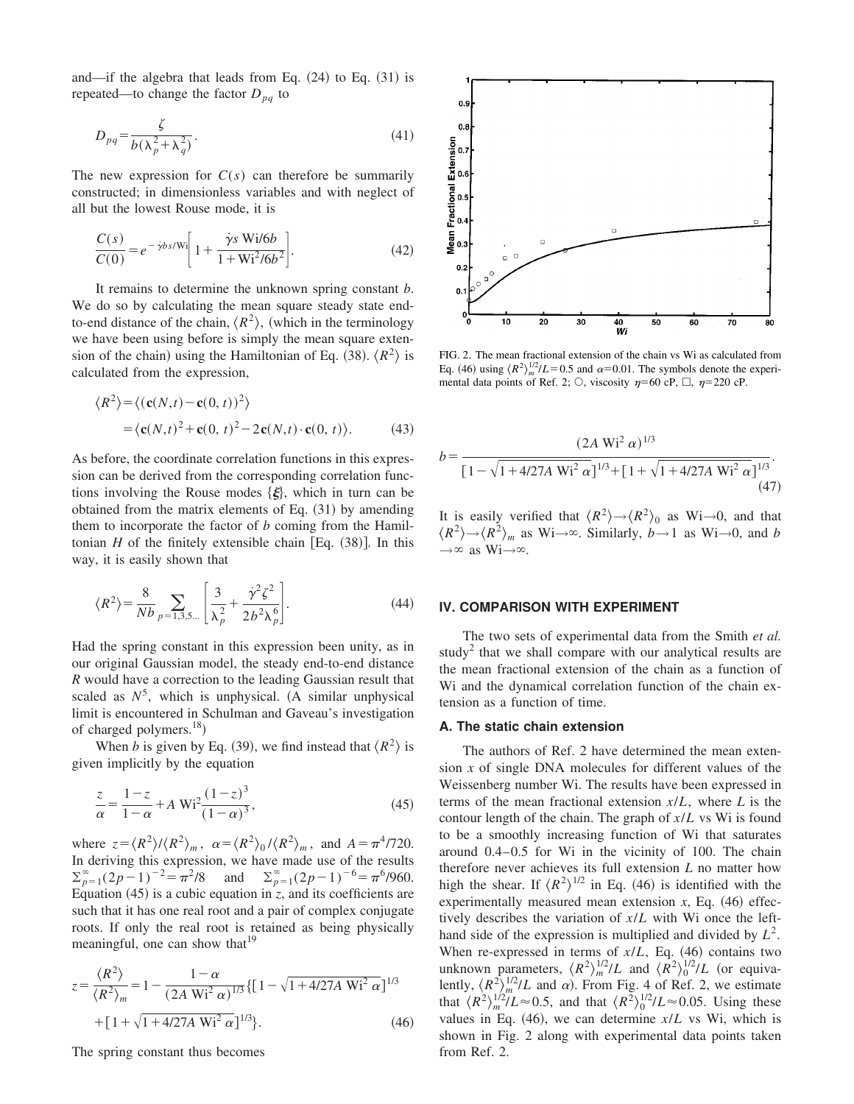and—if the algebra that leads from Eq.  $(24)$  to Eq.  $(31)$  is repeated—to change the factor  $D_{pa}$  to

$$
D_{pq} = \frac{\zeta}{b(\lambda_p^2 + \lambda_q^2)}.
$$
\n(41)

The new expression for  $C(s)$  can therefore be summarily constructed; in dimensionless variables and with neglect of all but the lowest Rouse mode, it is

$$
\frac{C(s)}{C(0)} = e^{-\dot{\gamma}bs/Wi} \bigg[ 1 + \frac{\dot{\gamma}s \text{ Wi/6}b}{1 + \text{Wi}^2/6b^2} \bigg].
$$
 (42)

It remains to determine the unknown spring constant *b*. We do so by calculating the mean square steady state endto-end distance of the chain,  $\langle R^2 \rangle$ , (which in the terminology we have been using before is simply the mean square extension of the chain) using the Hamiltonian of Eq. (38).  $\langle R^2 \rangle$  is calculated from the expression,

$$
\langle R^2 \rangle = \langle (\mathbf{c}(N,t) - \mathbf{c}(0,t))^2 \rangle
$$
  
=  $\langle \mathbf{c}(N,t)^2 + \mathbf{c}(0,t)^2 - 2\mathbf{c}(N,t) \cdot \mathbf{c}(0,t) \rangle.$  (43)

As before, the coordinate correlation functions in this expression can be derived from the corresponding correlation functions involving the Rouse modes  $\{\xi\}$ , which in turn can be obtained from the matrix elements of Eq.  $(31)$  by amending them to incorporate the factor of *b* coming from the Hamiltonian  $H$  of the finitely extensible chain [Eq.  $(38)$ ]. In this way, it is easily shown that

$$
\langle R^2 \rangle = \frac{8}{Nb} \sum_{p=1,3,5\ldots} \left[ \frac{3}{\lambda_p^2} + \frac{\dot{\gamma}^2 \zeta^2}{2b^2 \lambda_p^6} \right]. \tag{44}
$$

Had the spring constant in this expression been unity, as in our original Gaussian model, the steady end-to-end distance *R* would have a correction to the leading Gaussian result that scaled as  $N^5$ , which is unphysical. (A similar unphysical limit is encountered in Schulman and Gaveau's investigation of charged polymers. $^{18}$ )

When *b* is given by Eq. (39), we find instead that  $\langle R^2 \rangle$  is given implicitly by the equation

$$
\frac{z}{\alpha} = \frac{1-z}{1-\alpha} + A W i^2 \frac{(1-z)^3}{(1-\alpha)^3},\tag{45}
$$

where  $z = \langle R^2 \rangle / \langle R^2 \rangle_m$ ,  $\alpha = \langle R^2 \rangle_0 / \langle R^2 \rangle_m$ , and  $A = \pi^4/720$ . In deriving this expression, we have made use of the results  $\sum_{p=1}^{\infty} (2p-1)^{-2} = \pi^2/8$  and  $\sum_{p=1}^{\infty} (2p-1)^{-6} = \pi^6/960$ . Equation  $(45)$  is a cubic equation in *z*, and its coefficients are such that it has one real root and a pair of complex conjugate roots. If only the real root is retained as being physically meaningful, one can show that  $19$ 

$$
z = \frac{\langle R^2 \rangle}{\langle R^2 \rangle_m} = 1 - \frac{1 - \alpha}{(2A \text{ Wi}^2 \alpha)^{1/3}} \{ [1 - \sqrt{1 + 4/27A \text{ Wi}^2 \alpha} ]^{1/3} + [1 + \sqrt{1 + 4/27A \text{ Wi}^2 \alpha}]^{1/3} \}.
$$
 (46)

The spring constant thus becomes



FIG. 2. The mean fractional extension of the chain vs Wi as calculated from Eq. (46) using  $\langle R^2 \rangle_m^{1/2}/L = 0.5$  and  $\alpha = 0.01$ . The symbols denote the experimental data points of Ref. 2;  $\circlearrowright$ , viscosity  $\eta$ =60 cP,  $\Box$ ,  $\eta$ =220 cP.

$$
b = \frac{(2A \text{ Wi}^2 \alpha)^{1/3}}{[1 - \sqrt{1 + 4/27A \text{ Wi}^2 \alpha}]^{1/3} + [1 + \sqrt{1 + 4/27A \text{ Wi}^2 \alpha}]^{1/3}}.
$$
\n(47)

It is easily verified that  $\langle R^2 \rangle \rightarrow \langle R^2 \rangle_0$  as Wi→0, and that  $\langle R^2 \rangle \rightarrow \langle R^2 \rangle_m$  as Wi $\rightarrow \infty$ . Similarly, *b* $\rightarrow$ 1 as Wi $\rightarrow$ 0, and *b*  $\rightarrow \infty$  as Wi $\rightarrow \infty$ .

#### **IV. COMPARISON WITH EXPERIMENT**

The two sets of experimental data from the Smith *et al.* study<sup>2</sup> that we shall compare with our analytical results are the mean fractional extension of the chain as a function of Wi and the dynamical correlation function of the chain extension as a function of time.

#### **A. The static chain extension**

The authors of Ref. 2 have determined the mean extension *x* of single DNA molecules for different values of the Weissenberg number Wi. The results have been expressed in terms of the mean fractional extension *x*/*L*, where *L* is the contour length of the chain. The graph of *x*/*L* vs Wi is found to be a smoothly increasing function of Wi that saturates around 0.4–0.5 for Wi in the vicinity of 100. The chain therefore never achieves its full extension *L* no matter how high the shear. If  $\langle R^2 \rangle^{1/2}$  in Eq. (46) is identified with the experimentally measured mean extension  $x$ , Eq.  $(46)$  effectively describes the variation of *x*/*L* with Wi once the lefthand side of the expression is multiplied and divided by  $L^2$ . When re-expressed in terms of  $x/L$ , Eq.  $(46)$  contains two unknown parameters,  $\langle R^2 \rangle_m^{1/2}/L$  and  $\langle R^2 \rangle_0^{1/2}/L$  (or equivalently,  $\langle R^2 \rangle_m^{1/2}/L$  and  $\alpha$ ). From Fig. 4 of Ref. 2, we estimate that  $\langle R^2 \rangle_m^{1/2}/L \approx 0.5$ , and that  $\langle R^2 \rangle_0^{1/2}/L \approx 0.05$ . Using these values in Eq.  $(46)$ , we can determine  $x/L$  vs Wi, which is shown in Fig. 2 along with experimental data points taken from Ref. 2.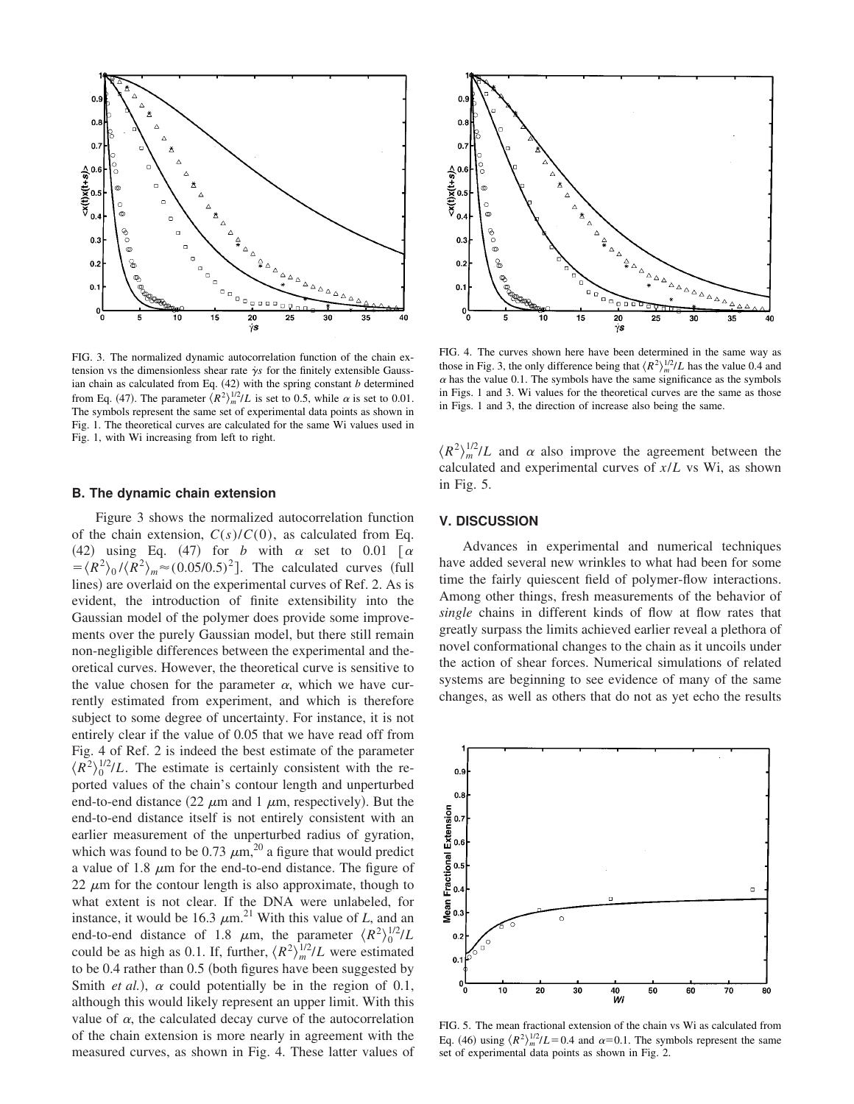

FIG. 3. The normalized dynamic autocorrelation function of the chain extension vs the dimensionless shear rate  $\gamma$ s for the finitely extensible Gaussian chain as calculated from Eq.  $(42)$  with the spring constant *b* determined from Eq. (47). The parameter  $\langle R^2 \rangle_m^{1/2}/L$  is set to 0.5, while  $\alpha$  is set to 0.01. The symbols represent the same set of experimental data points as shown in Fig. 1. The theoretical curves are calculated for the same Wi values used in Fig. 1, with Wi increasing from left to right.

### **B. The dynamic chain extension**

Figure 3 shows the normalized autocorrelation function of the chain extension,  $C(s)/C(0)$ , as calculated from Eq. (42) using Eq. (47) for *b* with  $\alpha$  set to 0.01  $\alpha$  $= \langle R^2 \rangle_0 / \langle R^2 \rangle_m \approx (0.05/0.5)^2$ . The calculated curves (full lines) are overlaid on the experimental curves of Ref. 2. As is evident, the introduction of finite extensibility into the Gaussian model of the polymer does provide some improvements over the purely Gaussian model, but there still remain non-negligible differences between the experimental and theoretical curves. However, the theoretical curve is sensitive to the value chosen for the parameter  $\alpha$ , which we have currently estimated from experiment, and which is therefore subject to some degree of uncertainty. For instance, it is not entirely clear if the value of 0.05 that we have read off from Fig. 4 of Ref. 2 is indeed the best estimate of the parameter  $\langle R^2 \rangle_0^{1/2}/L$ . The estimate is certainly consistent with the reported values of the chain's contour length and unperturbed end-to-end distance  $(22 \mu m$  and 1  $\mu m$ , respectively). But the end-to-end distance itself is not entirely consistent with an earlier measurement of the unperturbed radius of gyration, which was found to be 0.73  $\mu$ m,<sup>20</sup> a figure that would predict a value of 1.8  $\mu$ m for the end-to-end distance. The figure of 22  $\mu$ m for the contour length is also approximate, though to what extent is not clear. If the DNA were unlabeled, for instance, it would be 16.3  $\mu$ m.<sup>21</sup> With this value of *L*, and an end-to-end distance of 1.8  $\mu$ m, the parameter  $\langle R^2 \rangle_0^{1/2}/L$ could be as high as 0.1. If, further,  $\langle R^2 \rangle_m^{1/2}/L$  were estimated to be  $0.4$  rather than  $0.5$  (both figures have been suggested by Smith *et al.*),  $\alpha$  could potentially be in the region of 0.1, although this would likely represent an upper limit. With this value of  $\alpha$ , the calculated decay curve of the autocorrelation of the chain extension is more nearly in agreement with the measured curves, as shown in Fig. 4. These latter values of



FIG. 4. The curves shown here have been determined in the same way as those in Fig. 3, the only difference being that  $\langle R^2 \rangle_m^{1/2}/L$  has the value 0.4 and  $\alpha$  has the value 0.1. The symbols have the same significance as the symbols in Figs. 1 and 3. Wi values for the theoretical curves are the same as those in Figs. 1 and 3, the direction of increase also being the same.

 $\langle R^2 \rangle_m^{1/2}/L$  and  $\alpha$  also improve the agreement between the calculated and experimental curves of *x*/*L* vs Wi, as shown in Fig. 5.

## **V. DISCUSSION**

Advances in experimental and numerical techniques have added several new wrinkles to what had been for some time the fairly quiescent field of polymer-flow interactions. Among other things, fresh measurements of the behavior of *single* chains in different kinds of flow at flow rates that greatly surpass the limits achieved earlier reveal a plethora of novel conformational changes to the chain as it uncoils under the action of shear forces. Numerical simulations of related systems are beginning to see evidence of many of the same changes, as well as others that do not as yet echo the results



FIG. 5. The mean fractional extension of the chain vs Wi as calculated from Eq. (46) using  $\langle R^2 \rangle_m^{1/2}/L = 0.4$  and  $\alpha = 0.1$ . The symbols represent the same set of experimental data points as shown in Fig. 2.